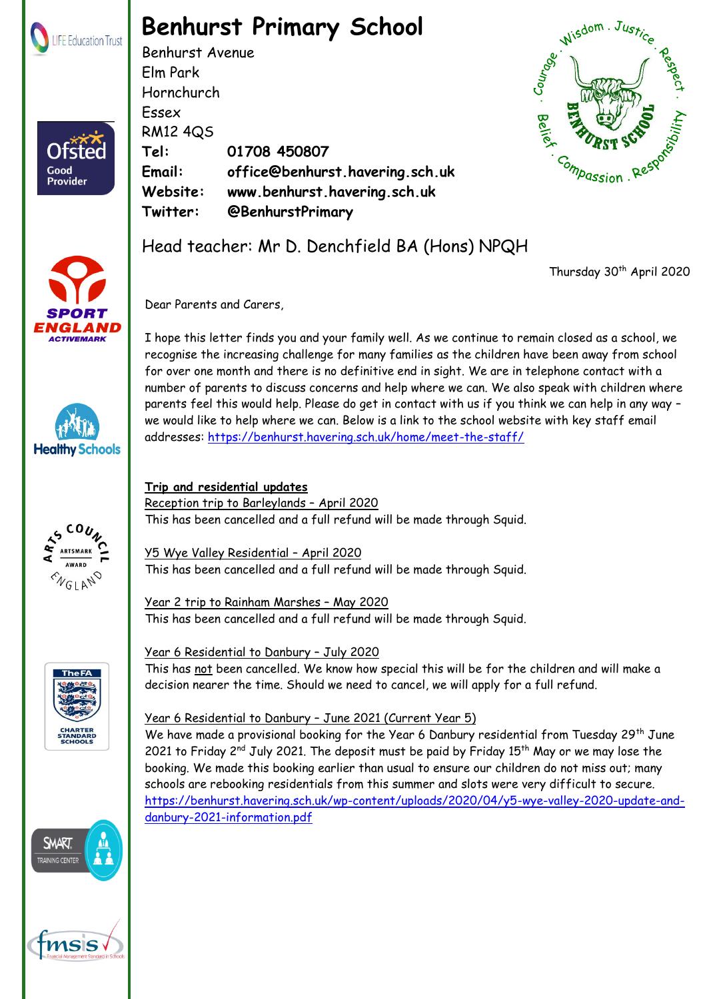

Ofster

Good **Provider** 

# **Benhurst Primary School**

Benhurst Avenue Elm Park Hornchurch Essex RM12 4QS **Tel: 01708 450807 Email: office@benhurst.havering.sch.uk Website: www.benhurst.havering.sch.uk Twitter: @BenhurstPrimary**















Thursday 30<sup>th</sup> April 2020

Dear Parents and Carers,

I hope this letter finds you and your family well. As we continue to remain closed as a school, we recognise the increasing challenge for many families as the children have been away from school for over one month and there is no definitive end in sight. We are in telephone contact with a number of parents to discuss concerns and help where we can. We also speak with children where parents feel this would help. Please do get in contact with us if you think we can help in any way – we would like to help where we can. Below is a link to the school website with key staff email addresses:<https://benhurst.havering.sch.uk/home/meet-the-staff/>

#### **Trip and residential updates** Reception trip to Barleylands – April 2020 This has been cancelled and a full refund will be made through Squid.

Y5 Wye Valley Residential – April 2020 This has been cancelled and a full refund will be made through Squid.

Year 2 trip to Rainham Marshes – May 2020 This has been cancelled and a full refund will be made through Squid.

## Year 6 Residential to Danbury – July 2020

This has not been cancelled. We know how special this will be for the children and will make a decision nearer the time. Should we need to cancel, we will apply for a full refund.

## Year 6 Residential to Danbury – June 2021 (Current Year 5)

We have made a provisional booking for the Year 6 Danbury residential from Tuesday 29<sup>th</sup> June 2021 to Friday  $2^{nd}$  July 2021. The deposit must be paid by Friday 15<sup>th</sup> May or we may lose the booking. We made this booking earlier than usual to ensure our children do not miss out; many schools are rebooking residentials from this summer and slots were very difficult to secure. [https://benhurst.havering.sch.uk/wp-content/uploads/2020/04/y5-wye-valley-2020-update-and](https://benhurst.havering.sch.uk/wp-content/uploads/2020/04/y5-wye-valley-2020-update-and-danbury-2021-information.pdf)[danbury-2021-information.pdf](https://benhurst.havering.sch.uk/wp-content/uploads/2020/04/y5-wye-valley-2020-update-and-danbury-2021-information.pdf)